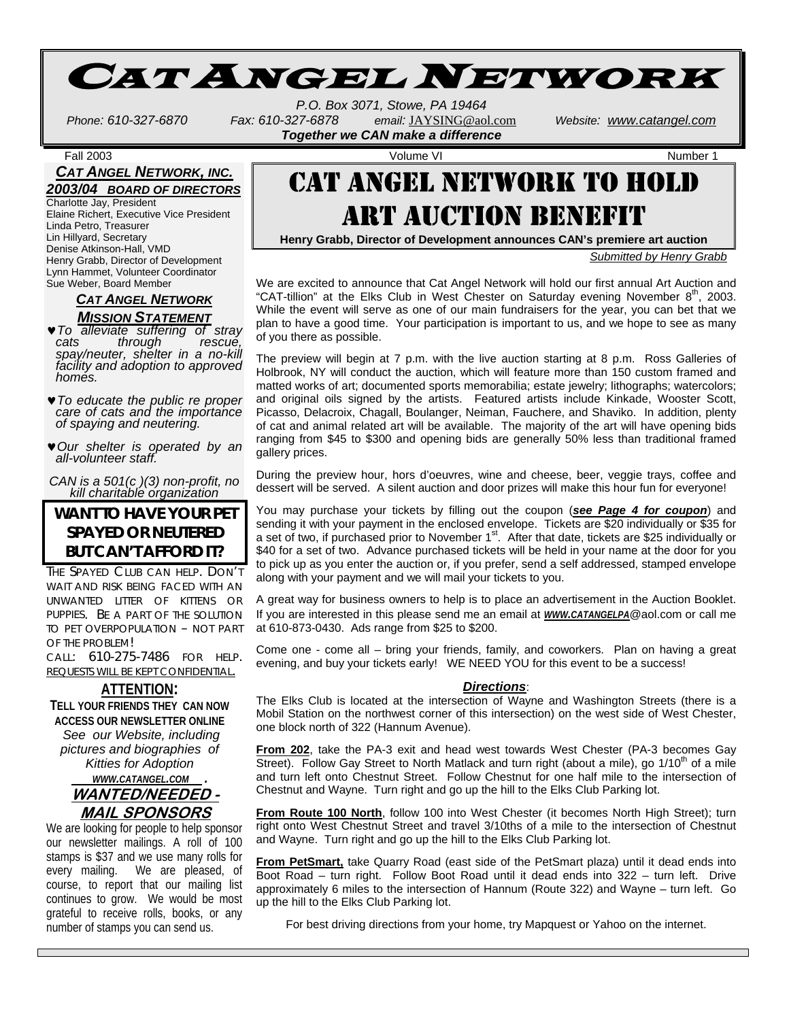

*P.O. Box 3071, Stowe, PA 19464 Phone: 610-327-6870 Fax: 610-327-6878 email:* JAYSING@aol.com *Website: www.catangel.com Together we CAN make a difference* 

Fall 2003 Volume VI Number 1

### *CAT ANGEL NETWORK, INC. 2003/04 BOARD OF DIRECTORS*

Charlotte Jay, President Elaine Richert, Executive Vice President Linda Petro, Treasurer Lin Hillyard, Secretary Denise Atkinson-Hall, VMD Henry Grabb, Director of Development Lynn Hammet, Volunteer Coordinator Sue Weber, Board Member

> *CAT ANGEL NETWORK MISSION STATEMENT*

♥*To alleviate suffering of stray through spay/neuter, shelter in a no-kill facility and adoption to approved homes.* 

- ♥*To educate the public re proper care of cats and the importance of spaying and neutering.*
- ♥*Our shelter is operated by an all-volunteer staff.*

*CAN is a 501(c )(3) non-profit, no kill charitable organization*

### **WANT TO HAVE YOUR PET SPAYED OR NEUTERED BUT CAN'T AFFORD IT?**

THE SPAYED CLUB CAN HELP. DON'T WAIT AND RISK BEING FACED WITH AN UNWANTED LITTER OF KITTENS OR PUPPIES. BE A PART OF THE SOLUTION TO PET OVERPOPULATION – NOT PART OF THE PROBLEM!

CALL: 610-275-7486 FOR HELP. REQUESTS WILL BE KEPT CONFIDENTIAL.

### **ATTENTION:**

**TELL YOUR FRIENDS THEY CAN NOW ACCESS OUR NEWSLETTER ONLINE** *See our Website, including pictures and biographies of Kitties for Adoption WWW.CATANGEL.COM .*  **WANTED/NEEDED -**

### **MAIL SPONSORS**

We are looking for people to help sponsor our newsletter mailings. A roll of 100 stamps is \$37 and we use many rolls for every mailing. We are pleased, of course, to report that our mailing list continues to grow. We would be most grateful to receive rolls, books, or any number of stamps you can send us.

## CAT ANGEL NETWORK TO HOLD ART AUCTION BENEFIT

**Henry Grabb, Director of Development announces CAN's premiere art auction**

*Submitted by Henry Grabb*

We are excited to announce that Cat Angel Network will hold our first annual Art Auction and "CAT-tillion" at the Elks Club in West Chester on Saturday evening November  $8<sup>th</sup>$ , 2003. While the event will serve as one of our main fundraisers for the year, you can bet that we plan to have a good time. Your participation is important to us, and we hope to see as many of you there as possible.

The preview will begin at 7 p.m. with the live auction starting at 8 p.m. Ross Galleries of Holbrook, NY will conduct the auction, which will feature more than 150 custom framed and matted works of art; documented sports memorabilia; estate jewelry; lithographs; watercolors; and original oils signed by the artists. Featured artists include Kinkade, Wooster Scott, Picasso, Delacroix, Chagall, Boulanger, Neiman, Fauchere, and Shaviko. In addition, plenty of cat and animal related art will be available. The majority of the art will have opening bids ranging from \$45 to \$300 and opening bids are generally 50% less than traditional framed gallery prices.

During the preview hour, hors d'oeuvres, wine and cheese, beer, veggie trays, coffee and dessert will be served. A silent auction and door prizes will make this hour fun for everyone!

You may purchase your tickets by filling out the coupon (*see Page 4 for coupon*) and sending it with your payment in the enclosed envelope. Tickets are \$20 individually or \$35 for a set of two, if purchased prior to November 1st. After that date, tickets are \$25 individually or \$40 for a set of two. Advance purchased tickets will be held in your name at the door for you to pick up as you enter the auction or, if you prefer, send a self addressed, stamped envelope along with your payment and we will mail your tickets to you.

A great way for business owners to help is to place an advertisement in the Auction Booklet. If you are interested in this please send me an email at *WWW.CATANGELPA*@aol.com or call me at 610-873-0430. Ads range from \$25 to \$200.

Come one - come all – bring your friends, family, and coworkers. Plan on having a great evening, and buy your tickets early! WE NEED YOU for this event to be a success!

#### *Directions*:

The Elks Club is located at the intersection of Wayne and Washington Streets (there is a Mobil Station on the northwest corner of this intersection) on the west side of West Chester, one block north of 322 (Hannum Avenue).

**From 202**, take the PA-3 exit and head west towards West Chester (PA-3 becomes Gay Street). Follow Gay Street to North Matlack and turn right (about a mile), go 1/10<sup>th</sup> of a mile and turn left onto Chestnut Street. Follow Chestnut for one half mile to the intersection of Chestnut and Wayne. Turn right and go up the hill to the Elks Club Parking lot.

**From Route 100 North**, follow 100 into West Chester (it becomes North High Street); turn right onto West Chestnut Street and travel 3/10ths of a mile to the intersection of Chestnut and Wayne. Turn right and go up the hill to the Elks Club Parking lot.

**From PetSmart,** take Quarry Road (east side of the PetSmart plaza) until it dead ends into Boot Road – turn right. Follow Boot Road until it dead ends into 322 – turn left. Drive approximately 6 miles to the intersection of Hannum (Route 322) and Wayne – turn left. Go up the hill to the Elks Club Parking lot.

For best driving directions from your home, try Mapquest or Yahoo on the internet.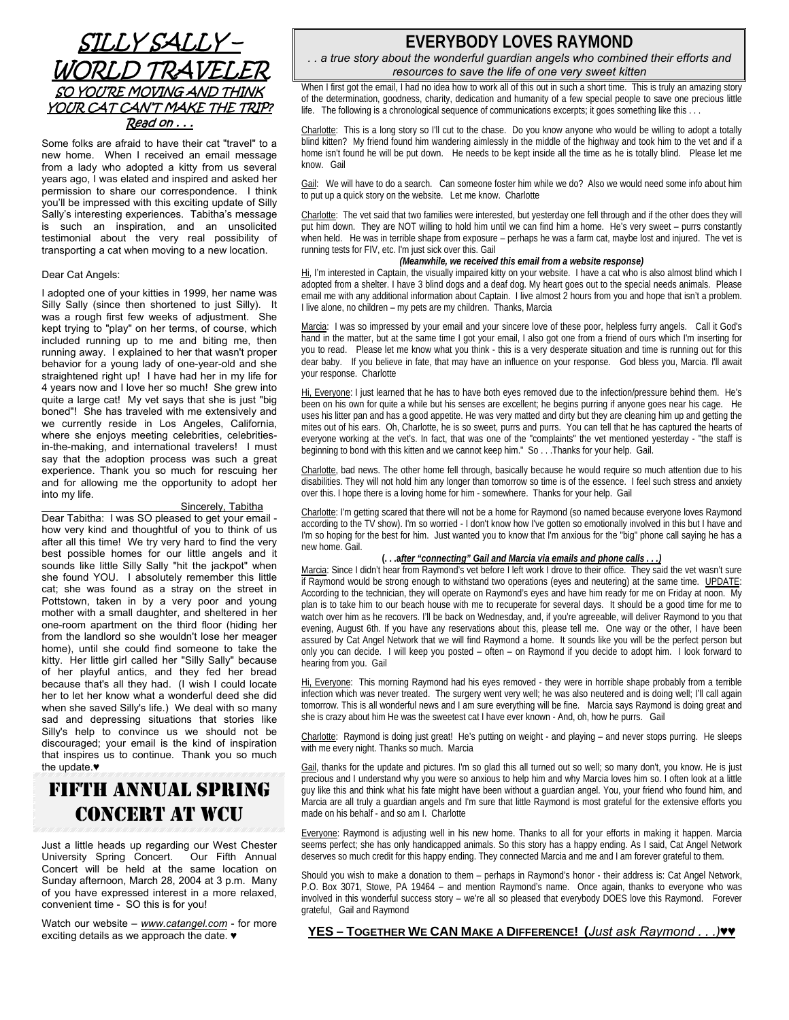### SILLY SALLY – WORLD TRAVELER SO YOU'RE MOVING AND THINK YOUR CAT CAN'T MAKE THE TRIP? Read on . . .

Some folks are afraid to have their cat "travel" to a new home. When I received an email message from a lady who adopted a kitty from us several years ago, I was elated and inspired and asked her permission to share our correspondence. I think you'll be impressed with this exciting update of Silly Sally's interesting experiences. Tabitha's message is such an inspiration, and an unsolicited testimonial about the very real possibility of transporting a cat when moving to a new location.

#### Dear Cat Angels:

I adopted one of your kitties in 1999, her name was Silly Sally (since then shortened to just Silly). It was a rough first few weeks of adjustment. She kept trying to "play" on her terms, of course, which included running up to me and biting me, then running away. I explained to her that wasn't proper behavior for a young lady of one-year-old and she straightened right up! I have had her in my life for 4 years now and I love her so much! She grew into quite a large cat! My vet says that she is just "big boned"! She has traveled with me extensively and we currently reside in Los Angeles, California, where she enjoys meeting celebrities, celebritiesin-the-making, and international travelers! I must say that the adoption process was such a great experience. Thank you so much for rescuing her and for allowing me the opportunity to adopt her into my life.

#### Sincerely, Tabitha

Dear Tabitha: I was SO pleased to get your email how very kind and thoughtful of you to think of us after all this time! We try very hard to find the very best possible homes for our little angels and it sounds like little Silly Sally "hit the jackpot" when she found YOU. I absolutely remember this little cat; she was found as a stray on the street in Pottstown, taken in by a very poor and young mother with a small daughter, and sheltered in her one-room apartment on the third floor (hiding her from the landlord so she wouldn't lose her meager home), until she could find someone to take the kitty. Her little girl called her "Silly Sally" because of her playful antics, and they fed her bread because that's all they had. (I wish I could locate her to let her know what a wonderful deed she did when she saved Silly's life.) We deal with so many sad and depressing situations that stories like Silly's help to convince us we should not be discouraged; your email is the kind of inspiration that inspires us to continue. Thank you so much the update.♥

## FIFTH ANNUAL SPRING CONCERT AT WCU

Just a little heads up regarding our West Chester University Spring Concert. Our Fifth Annual Concert will be held at the same location on Sunday afternoon, March 28, 2004 at 3 p.m. Many of you have expressed interest in a more relaxed, convenient time - SO this is for you!

Watch our website *– www.catangel.com* - for more exciting details as we approach the date. ♥

### **EVERYBODY LOVES RAYMOND**

*. . a true story about the wonderful guardian angels who combined their efforts and resources to save the life of one very sweet kitten*

When I first got the email, I had no idea how to work all of this out in such a short time. This is truly an amazing story of the determination, goodness, charity, dedication and humanity of a few special people to save one precious little life. The following is a chronological sequence of communications excerpts; it goes something like this . . .

Charlotte: This is a long story so I'll cut to the chase. Do you know anyone who would be willing to adopt a totally blind kitten? My friend found him wandering aimlessly in the middle of the highway and took him to the vet and if a home isn't found he will be put down. He needs to be kept inside all the time as he is totally blind. Please let me know. Gail

Gail: We will have to do a search. Can someone foster him while we do? Also we would need some info about him to put up a quick story on the website. Let me know. Charlotte

Charlotte: The vet said that two families were interested, but yesterday one fell through and if the other does they will put him down. They are NOT willing to hold him until we can find him a home. He's very sweet – purrs constantly when held. He was in terrible shape from exposure – perhaps he was a farm cat, maybe lost and injured. The vet is running tests for FIV, etc. I'm just sick over this. Gail

#### *(Meanwhile, we received this email from a website response)*

Hi, I'm interested in Captain, the visually impaired kitty on your website. I have a cat who is also almost blind which I adopted from a shelter. I have 3 blind dogs and a deaf dog. My heart goes out to the special needs animals. Please email me with any additional information about Captain. I live almost 2 hours from you and hope that isn't a problem. I live alone, no children – my pets are my children. Thanks, Marcia

Marcia: I was so impressed by your email and your sincere love of these poor, helpless furry angels. Call it God's hand in the matter, but at the same time I got your email, I also got one from a friend of ours which I'm inserting for you to read. Please let me know what you think - this is a very desperate situation and time is running out for this dear baby. If you believe in fate, that may have an influence on your response. God bless you, Marcia. I'll await your response. Charlotte

Hi, Everyone: I just learned that he has to have both eyes removed due to the infection/pressure behind them. He's been on his own for quite a while but his senses are excellent; he begins purring if anyone goes near his cage. He uses his litter pan and has a good appetite. He was very matted and dirty but they are cleaning him up and getting the mites out of his ears. Oh, Charlotte, he is so sweet, purrs and purrs. You can tell that he has captured the hearts of everyone working at the vet's. In fact, that was one of the "complaints" the vet mentioned yesterday - "the staff is beginning to bond with this kitten and we cannot keep him." So . . . Thanks for your help. Gail.

Charlotte, bad news. The other home fell through, basically because he would require so much attention due to his disabilities. They will not hold him any longer than tomorrow so time is of the essence. I feel such stress and anxiety over this. I hope there is a loving home for him - somewhere. Thanks for your help. Gail

Charlotte: I'm getting scared that there will not be a home for Raymond (so named because everyone loves Raymond according to the TV show). I'm so worried - I don't know how I've gotten so emotionally involved in this but I have and I'm so hoping for the best for him. Just wanted you to know that I'm anxious for the "big" phone call saying he has a new home. Gail.

#### **(. . .a***fter "connecting" Gail and Marcia via emails and phone calls . . .)*

Marcia: Since I didn't hear from Raymond's vet before I left work I drove to their office. They said the vet wasn't sure if Raymond would be strong enough to withstand two operations (eyes and neutering) at the same time. UPDATE: According to the technician, they will operate on Raymond's eyes and have him ready for me on Friday at noon. My plan is to take him to our beach house with me to recuperate for several days. It should be a good time for me to watch over him as he recovers. I'll be back on Wednesday, and, if you're agreeable, will deliver Raymond to you that evening, August 6th. If you have any reservations about this, please tell me. One way or the other, I have been assured by Cat Angel Network that we will find Raymond a home. It sounds like you will be the perfect person but only you can decide. I will keep you posted – often – on Raymond if you decide to adopt him. I look forward to hearing from you. Gail

Hi, Everyone: This morning Raymond had his eyes removed - they were in horrible shape probably from a terrible infection which was never treated. The surgery went very well; he was also neutered and is doing well; I'll call again tomorrow. This is all wonderful news and I am sure everything will be fine. Marcia says Raymond is doing great and she is crazy about him He was the sweetest cat I have ever known - And, oh, how he purrs. Gail

Charlotte: Raymond is doing just great! He's putting on weight - and playing – and never stops purring. He sleeps with me every night. Thanks so much. Marcia

Gail, thanks for the update and pictures. I'm so glad this all turned out so well; so many don't, you know. He is just precious and I understand why you were so anxious to help him and why Marcia loves him so. I often look at a little guy like this and think what his fate might have been without a guardian angel. You, your friend who found him, and Marcia are all truly a guardian angels and I'm sure that little Raymond is most grateful for the extensive efforts you made on his behalf - and so am I. Charlotte

Everyone: Raymond is adjusting well in his new home. Thanks to all for your efforts in making it happen. Marcia seems perfect; she has only handicapped animals. So this story has a happy ending. As I said, Cat Angel Network deserves so much credit for this happy ending. They connected Marcia and me and I am forever grateful to them.

Should you wish to make a donation to them – perhaps in Raymond's honor - their address is: Cat Angel Network, P.O. Box 3071, Stowe, PA 19464 – and mention Raymond's name. Once again, thanks to everyone who was involved in this wonderful success story – we're all so pleased that everybody DOES love this Raymond. Forever grateful, Gail and Raymond

#### **YES – TOGETHER WE CAN MAKE A DIFFERENCE! (***Just ask Raymond . . .)♥♥*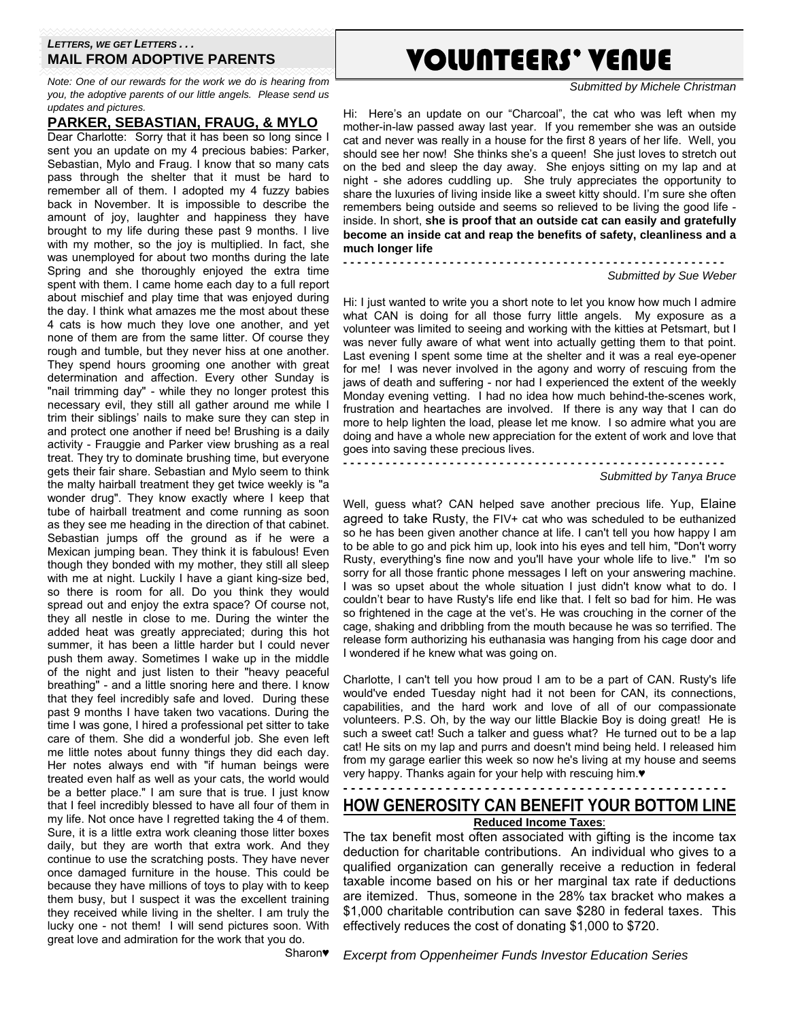#### *LETTERS, WE GET LETTERS . . .*  **MAIL FROM ADOPTIVE PARENTS**

*Note: One of our rewards for the work we do is hearing from you, the adoptive parents of our little angels. Please send us updates and pictures.* 

**PARKER, SEBASTIAN, FRAUG, & MYLO**

Dear Charlotte: Sorry that it has been so long since I sent you an update on my 4 precious babies: Parker, Sebastian, Mylo and Fraug. I know that so many cats pass through the shelter that it must be hard to remember all of them. I adopted my 4 fuzzy babies back in November. It is impossible to describe the amount of joy, laughter and happiness they have brought to my life during these past 9 months. I live with my mother, so the joy is multiplied. In fact, she was unemployed for about two months during the late Spring and she thoroughly enjoyed the extra time spent with them. I came home each day to a full report about mischief and play time that was enjoyed during the day. I think what amazes me the most about these 4 cats is how much they love one another, and yet none of them are from the same litter. Of course they rough and tumble, but they never hiss at one another. They spend hours grooming one another with great determination and affection. Every other Sunday is "nail trimming day" - while they no longer protest this necessary evil, they still all gather around me while I trim their siblings' nails to make sure they can step in and protect one another if need be! Brushing is a daily activity - Frauggie and Parker view brushing as a real treat. They try to dominate brushing time, but everyone gets their fair share. Sebastian and Mylo seem to think the malty hairball treatment they get twice weekly is "a wonder drug". They know exactly where I keep that tube of hairball treatment and come running as soon as they see me heading in the direction of that cabinet. Sebastian jumps off the ground as if he were a Mexican jumping bean. They think it is fabulous! Even though they bonded with my mother, they still all sleep with me at night. Luckily I have a giant king-size bed, so there is room for all. Do you think they would spread out and enjoy the extra space? Of course not, they all nestle in close to me. During the winter the added heat was greatly appreciated; during this hot summer, it has been a little harder but I could never push them away. Sometimes I wake up in the middle of the night and just listen to their "heavy peaceful breathing" - and a little snoring here and there. I know that they feel incredibly safe and loved. During these past 9 months I have taken two vacations. During the time I was gone, I hired a professional pet sitter to take care of them. She did a wonderful job. She even left me little notes about funny things they did each day. Her notes always end with "if human beings were treated even half as well as your cats, the world would be a better place." I am sure that is true. I just know that I feel incredibly blessed to have all four of them in my life. Not once have I regretted taking the 4 of them. Sure, it is a little extra work cleaning those litter boxes daily, but they are worth that extra work. And they continue to use the scratching posts. They have never once damaged furniture in the house. This could be because they have millions of toys to play with to keep them busy, but I suspect it was the excellent training they received while living in the shelter. I am truly the lucky one - not them! I will send pictures soon. With great love and admiration for the work that you do.

## VOLUNTEERS' VENUE

*Submitted by Michele Christman* 

Hi: Here's an update on our "Charcoal", the cat who was left when my mother-in-law passed away last year. If you remember she was an outside cat and never was really in a house for the first 8 years of her life. Well, you should see her now! She thinks she's a queen! She just loves to stretch out on the bed and sleep the day away. She enjoys sitting on my lap and at night - she adores cuddling up. She truly appreciates the opportunity to share the luxuries of living inside like a sweet kitty should. I'm sure she often remembers being outside and seems so relieved to be living the good life inside. In short, **she is proof that an outside cat can easily and gratefully become an inside cat and reap the benefits of safety, cleanliness and a much longer life** 

**- - - - - - - - - - - - - - - - - - - - - - - - - - - - - - - - - - - - - - - - - - - - - - - - - - - - - -**  *Submitted by Sue Weber* 

Hi: I just wanted to write you a short note to let you know how much I admire what CAN is doing for all those furry little angels. My exposure as a volunteer was limited to seeing and working with the kitties at Petsmart, but I was never fully aware of what went into actually getting them to that point. Last evening I spent some time at the shelter and it was a real eye-opener for me! I was never involved in the agony and worry of rescuing from the jaws of death and suffering - nor had I experienced the extent of the weekly Monday evening vetting. I had no idea how much behind-the-scenes work, frustration and heartaches are involved. If there is any way that I can do more to help lighten the load, please let me know. I so admire what you are doing and have a whole new appreciation for the extent of work and love that goes into saving these precious lives.

**- - - - - - - - - - - - - - - - - - - - - - - - - - - - - - - - - - - - - - - - - - - - - - - - - - - - - -** 

*Submitted by Tanya Bruce* 

Well, guess what? CAN helped save another precious life. Yup, Elaine agreed to take Rusty, the FIV+ cat who was scheduled to be euthanized so he has been given another chance at life. I can't tell you how happy I am to be able to go and pick him up, look into his eyes and tell him, "Don't worry Rusty, everything's fine now and you'll have your whole life to live." I'm so sorry for all those frantic phone messages I left on your answering machine. I was so upset about the whole situation I just didn't know what to do. I couldn't bear to have Rusty's life end like that. I felt so bad for him. He was so frightened in the cage at the vet's. He was crouching in the corner of the cage, shaking and dribbling from the mouth because he was so terrified. The release form authorizing his euthanasia was hanging from his cage door and I wondered if he knew what was going on.

Charlotte, I can't tell you how proud I am to be a part of CAN. Rusty's life would've ended Tuesday night had it not been for CAN, its connections, capabilities, and the hard work and love of all of our compassionate volunteers. P.S. Oh, by the way our little Blackie Boy is doing great! He is such a sweet cat! Such a talker and guess what? He turned out to be a lap cat! He sits on my lap and purrs and doesn't mind being held. I released him from my garage earlier this week so now he's living at my house and seems very happy. Thanks again for your help with rescuing him.♥

### **- - - - - - - - - - - - - - - - - - - - - - - - - - - - - - - - - - - - - - - - - - - - - - - - - HOW GENEROSITY CAN BENEFIT YOUR BOTTOM LINE**

**Reduced Income Taxes**: The tax benefit most often associated with gifting is the income tax deduction for charitable contributions. An individual who gives to a qualified organization can generally receive a reduction in federal taxable income based on his or her marginal tax rate if deductions are itemized. Thus, someone in the 28% tax bracket who makes a \$1,000 charitable contribution can save \$280 in federal taxes. This effectively reduces the cost of donating \$1,000 to \$720.

Sharon♥